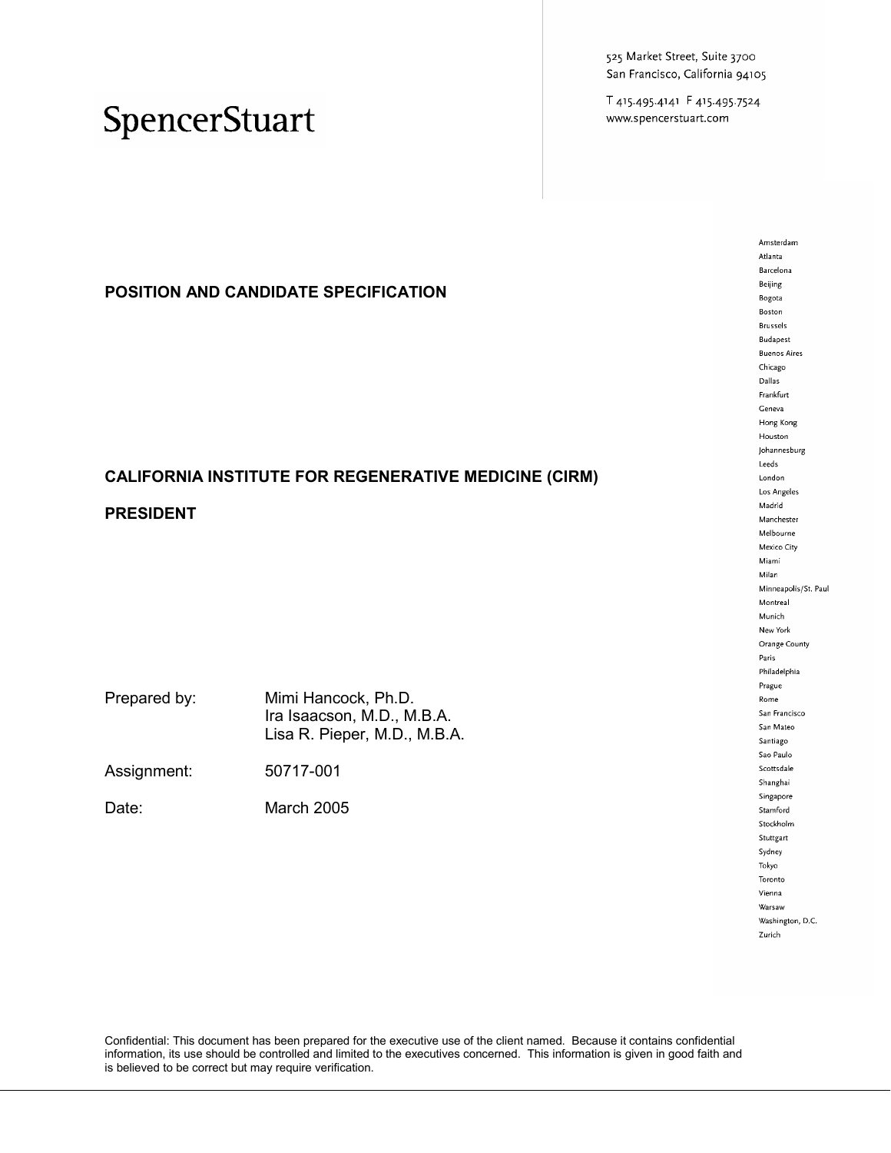525 Market Street, Suite 3700 San Francisco, California 94105

T 415.495.4141 F 415.495.7524 www.spencerstuart.com

### SpencerStuart

**POSITION AND CANDIDATE SPECIFICATION** 

### **CALIFORNIA INSTITUTE FOR REGENERATIVE MEDICINE (CIRM)**

#### **PRESIDENT**

| Prepared by: | Mimi Hancock, Ph.D.          |
|--------------|------------------------------|
|              | Ira Isaacson, M.D., M.B.A.   |
|              | Lisa R. Pieper, M.D., M.B.A. |
|              |                              |

Assignment: 50717-001

Date: March 2005

Amsterdam Atlanta Barcelona Beijing Bogota Boston **Brussels Budapest Buenos Aires**  ${\sf Chicago}$ Dallas Frankfurt Geneva Hong Kong Houston Johannesburg  ${\sf Leeds}$ London Los Angeles Madrid Manchester Melbourne Mexico City Miami Milan Minneapolis/St. Paul  ${\sf Montreal}$ Munich New York Orange County Paris Philadelphia Prague Rome San Francisco San Mateo Santiago Sao Paulo Scottsdale Shanghai Singapore Stamford Stockholm Stuttgart Sydney Tokyo Toronto Vienna Warsaw Washington, D.C. Zurich

Confidential: This document has been prepared for the executive use of the client named. Because it contains confidential information, its use should be controlled and limited to the executives concerned. This information is given in good faith and is believed to be correct but may require verification.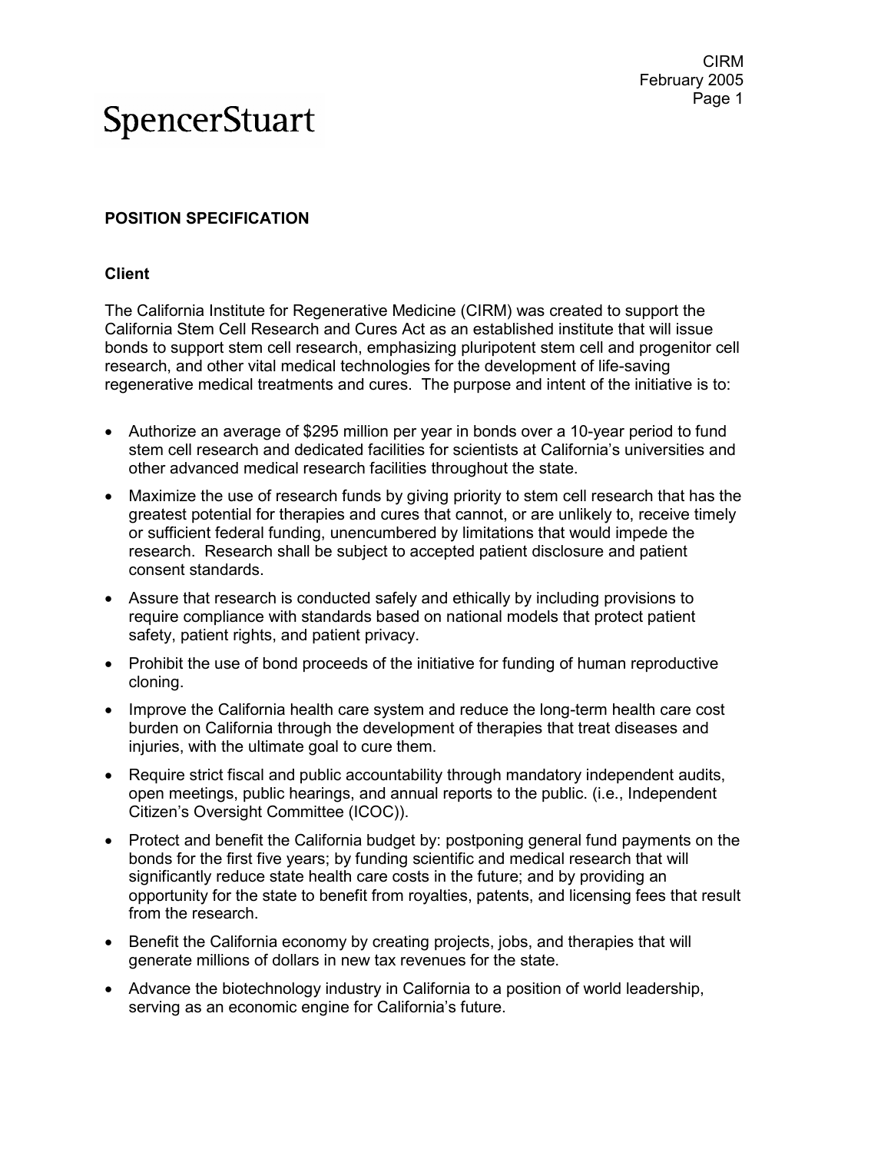#### **POSITION SPECIFICATION**

#### **Client**

The California Institute for Regenerative Medicine (CIRM) was created to support the California Stem Cell Research and Cures Act as an established institute that will issue bonds to support stem cell research, emphasizing pluripotent stem cell and progenitor cell research, and other vital medical technologies for the development of life-saving regenerative medical treatments and cures. The purpose and intent of the initiative is to:

- Authorize an average of \$295 million per year in bonds over a 10-year period to fund stem cell research and dedicated facilities for scientists at California's universities and other advanced medical research facilities throughout the state.
- Maximize the use of research funds by giving priority to stem cell research that has the greatest potential for therapies and cures that cannot, or are unlikely to, receive timely or sufficient federal funding, unencumbered by limitations that would impede the research. Research shall be subject to accepted patient disclosure and patient consent standards.
- Assure that research is conducted safely and ethically by including provisions to require compliance with standards based on national models that protect patient safety, patient rights, and patient privacy.
- Prohibit the use of bond proceeds of the initiative for funding of human reproductive cloning.
- Improve the California health care system and reduce the long-term health care cost burden on California through the development of therapies that treat diseases and injuries, with the ultimate goal to cure them.
- Require strict fiscal and public accountability through mandatory independent audits, open meetings, public hearings, and annual reports to the public. (i.e., Independent Citizen's Oversight Committee (ICOC)).
- Protect and benefit the California budget by: postponing general fund payments on the bonds for the first five years; by funding scientific and medical research that will significantly reduce state health care costs in the future; and by providing an opportunity for the state to benefit from royalties, patents, and licensing fees that result from the research.
- Benefit the California economy by creating projects, jobs, and therapies that will generate millions of dollars in new tax revenues for the state.
- Advance the biotechnology industry in California to a position of world leadership, serving as an economic engine for California's future.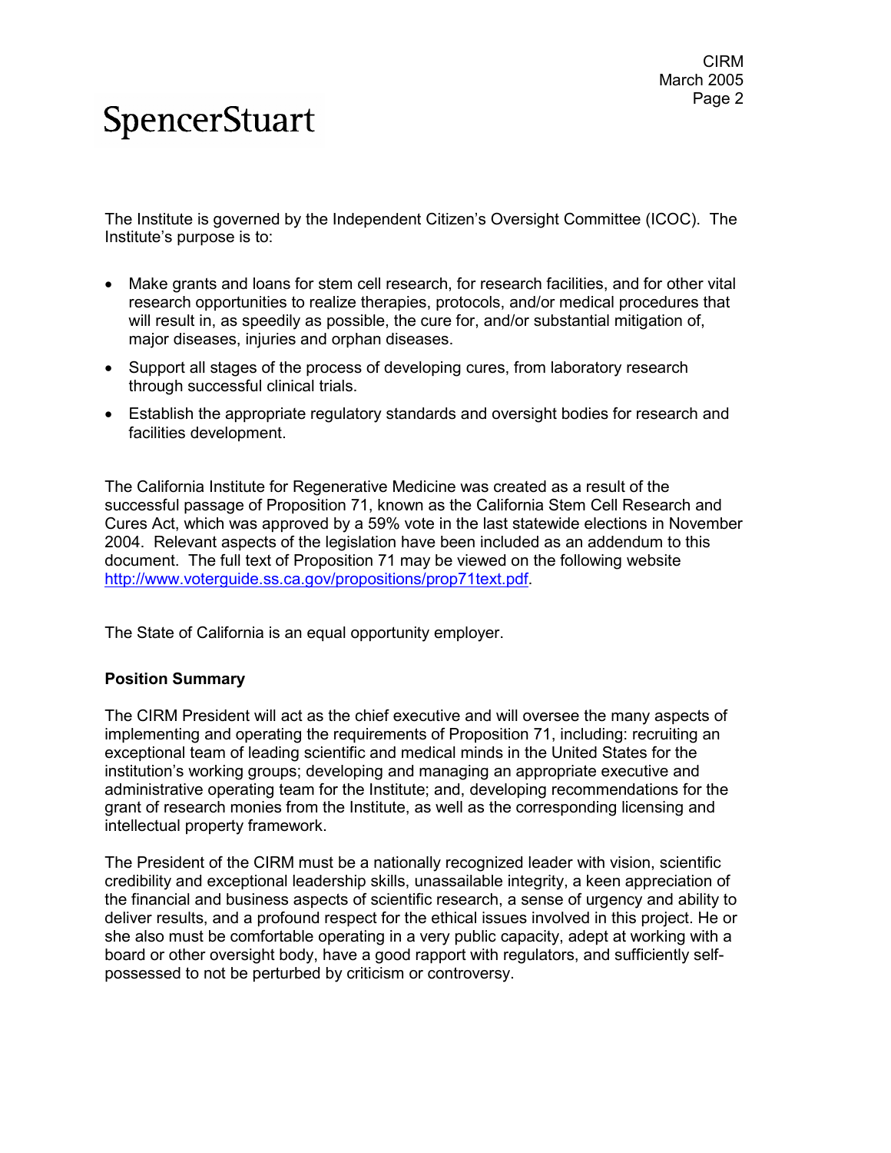The Institute is governed by the Independent Citizen's Oversight Committee (ICOC). The Institute's purpose is to:

- Make grants and loans for stem cell research, for research facilities, and for other vital research opportunities to realize therapies, protocols, and/or medical procedures that will result in, as speedily as possible, the cure for, and/or substantial mitigation of, major diseases, injuries and orphan diseases.
- Support all stages of the process of developing cures, from laboratory research through successful clinical trials.
- Establish the appropriate regulatory standards and oversight bodies for research and facilities development.

The California Institute for Regenerative Medicine was created as a result of the successful passage of Proposition 71, known as the California Stem Cell Research and Cures Act, which was approved by a 59% vote in the last statewide elections in November 2004. Relevant aspects of the legislation have been included as an addendum to this document. The full text of Proposition 71 may be viewed on the following website http://www.voterguide.ss.ca.gov/propositions/prop71text.pdf.

The State of California is an equal opportunity employer.

#### **Position Summary**

The CIRM President will act as the chief executive and will oversee the many aspects of implementing and operating the requirements of Proposition 71, including: recruiting an exceptional team of leading scientific and medical minds in the United States for the institution's working groups; developing and managing an appropriate executive and administrative operating team for the Institute; and, developing recommendations for the grant of research monies from the Institute, as well as the corresponding licensing and intellectual property framework.

The President of the CIRM must be a nationally recognized leader with vision, scientific credibility and exceptional leadership skills, unassailable integrity, a keen appreciation of the financial and business aspects of scientific research, a sense of urgency and ability to deliver results, and a profound respect for the ethical issues involved in this project. He or she also must be comfortable operating in a very public capacity, adept at working with a board or other oversight body, have a good rapport with regulators, and sufficiently selfpossessed to not be perturbed by criticism or controversy.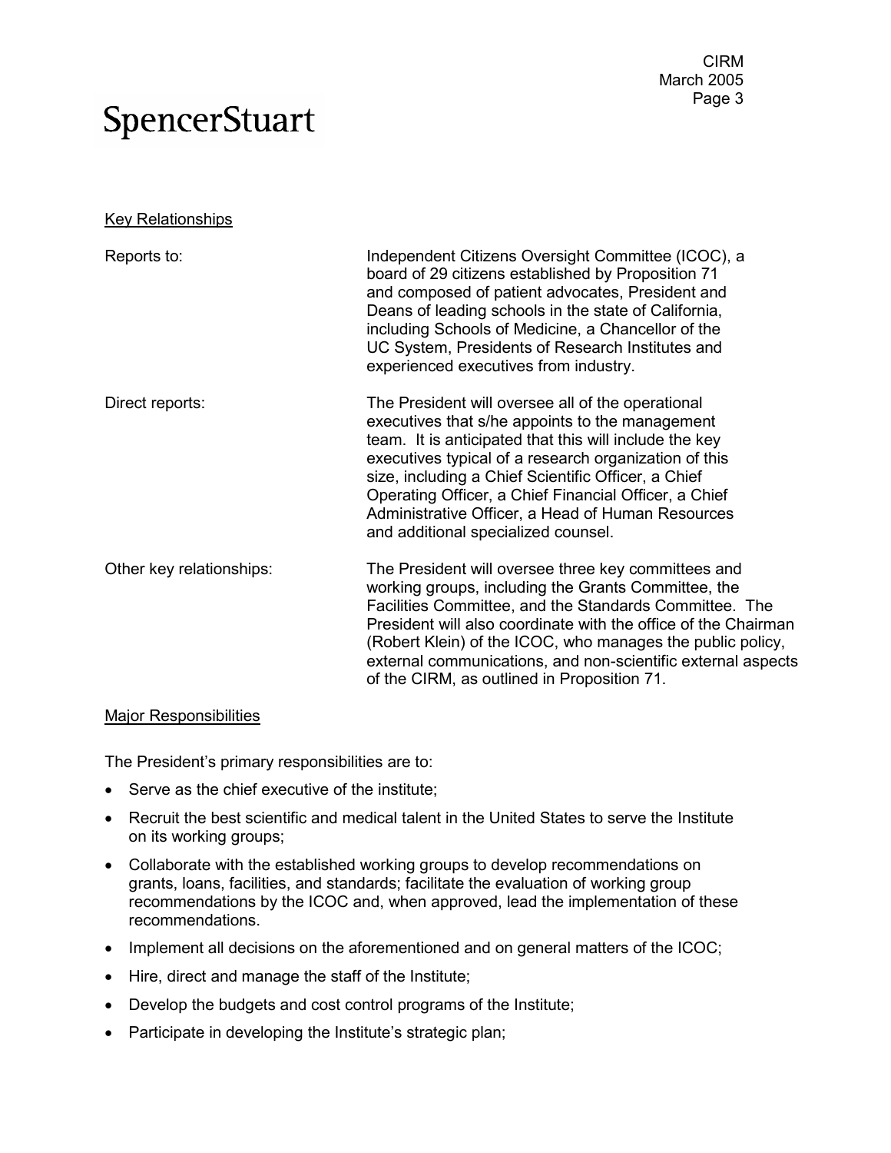**Key Relationships** 

| Reports to:              | Independent Citizens Oversight Committee (ICOC), a<br>board of 29 citizens established by Proposition 71<br>and composed of patient advocates, President and<br>Deans of leading schools in the state of California,<br>including Schools of Medicine, a Chancellor of the<br>UC System, Presidents of Research Institutes and<br>experienced executives from industry.                                                             |
|--------------------------|-------------------------------------------------------------------------------------------------------------------------------------------------------------------------------------------------------------------------------------------------------------------------------------------------------------------------------------------------------------------------------------------------------------------------------------|
| Direct reports:          | The President will oversee all of the operational<br>executives that s/he appoints to the management<br>team. It is anticipated that this will include the key<br>executives typical of a research organization of this<br>size, including a Chief Scientific Officer, a Chief<br>Operating Officer, a Chief Financial Officer, a Chief<br>Administrative Officer, a Head of Human Resources<br>and additional specialized counsel. |
| Other key relationships: | The President will oversee three key committees and<br>working groups, including the Grants Committee, the<br>Facilities Committee, and the Standards Committee. The<br>President will also coordinate with the office of the Chairman<br>(Robert Klein) of the ICOC, who manages the public policy,<br>external communications, and non-scientific external aspects<br>of the CIRM, as outlined in Proposition 71.                 |

#### Major Responsibilities

The President's primary responsibilities are to:

- Serve as the chief executive of the institute;
- Recruit the best scientific and medical talent in the United States to serve the Institute on its working groups;
- Collaborate with the established working groups to develop recommendations on grants, loans, facilities, and standards; facilitate the evaluation of working group recommendations by the ICOC and, when approved, lead the implementation of these recommendations.
- Implement all decisions on the aforementioned and on general matters of the ICOC;
- Hire, direct and manage the staff of the Institute;
- Develop the budgets and cost control programs of the Institute;
- Participate in developing the Institute's strategic plan;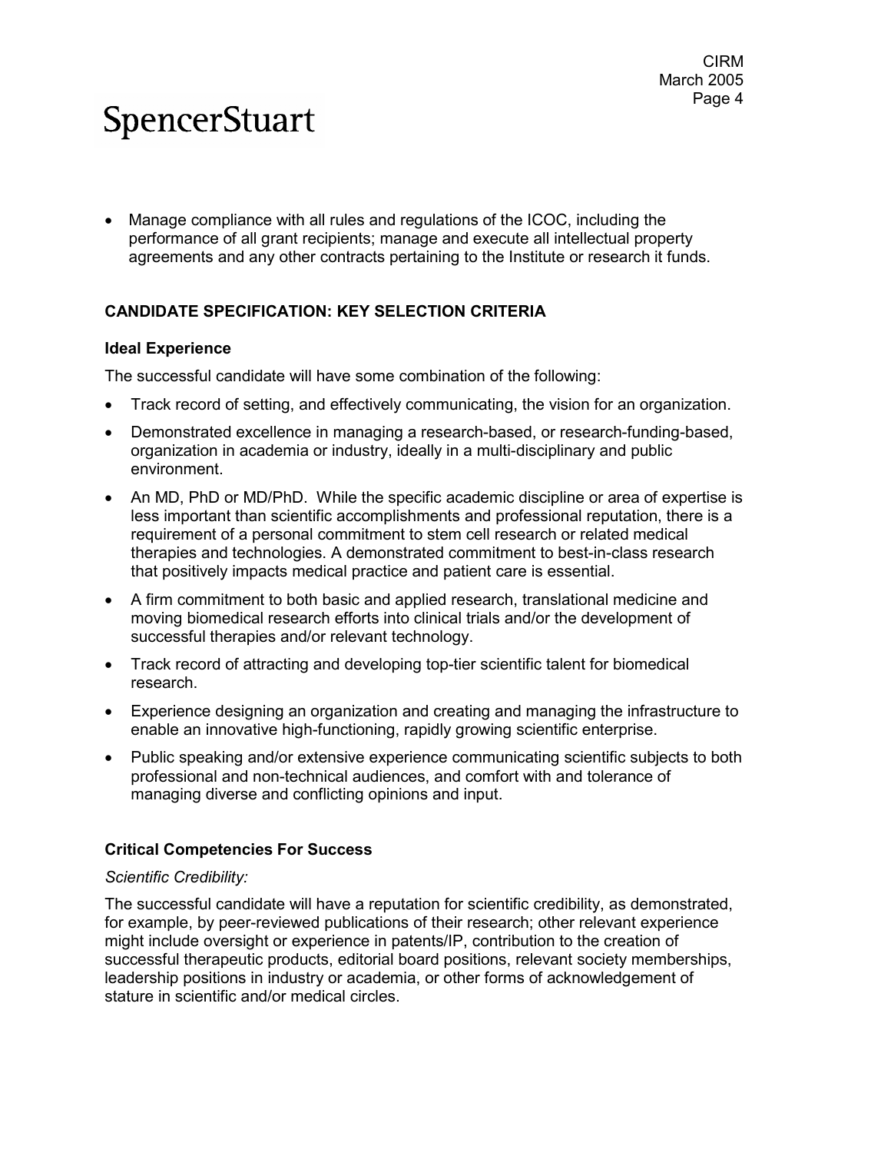• Manage compliance with all rules and regulations of the ICOC, including the performance of all grant recipients; manage and execute all intellectual property agreements and any other contracts pertaining to the Institute or research it funds.

#### **CANDIDATE SPECIFICATION: KEY SELECTION CRITERIA**

#### **Ideal Experience**

The successful candidate will have some combination of the following:

- Track record of setting, and effectively communicating, the vision for an organization.
- Demonstrated excellence in managing a research-based, or research-funding-based, organization in academia or industry, ideally in a multi-disciplinary and public environment.
- An MD, PhD or MD/PhD. While the specific academic discipline or area of expertise is less important than scientific accomplishments and professional reputation, there is a requirement of a personal commitment to stem cell research or related medical therapies and technologies. A demonstrated commitment to best-in-class research that positively impacts medical practice and patient care is essential.
- A firm commitment to both basic and applied research, translational medicine and moving biomedical research efforts into clinical trials and/or the development of successful therapies and/or relevant technology.
- Track record of attracting and developing top-tier scientific talent for biomedical research.
- Experience designing an organization and creating and managing the infrastructure to enable an innovative high-functioning, rapidly growing scientific enterprise.
- Public speaking and/or extensive experience communicating scientific subjects to both professional and non-technical audiences, and comfort with and tolerance of managing diverse and conflicting opinions and input.

#### **Critical Competencies For Success**

#### *Scientific Credibility:*

The successful candidate will have a reputation for scientific credibility, as demonstrated, for example, by peer-reviewed publications of their research; other relevant experience might include oversight or experience in patents/IP, contribution to the creation of successful therapeutic products, editorial board positions, relevant society memberships, leadership positions in industry or academia, or other forms of acknowledgement of stature in scientific and/or medical circles.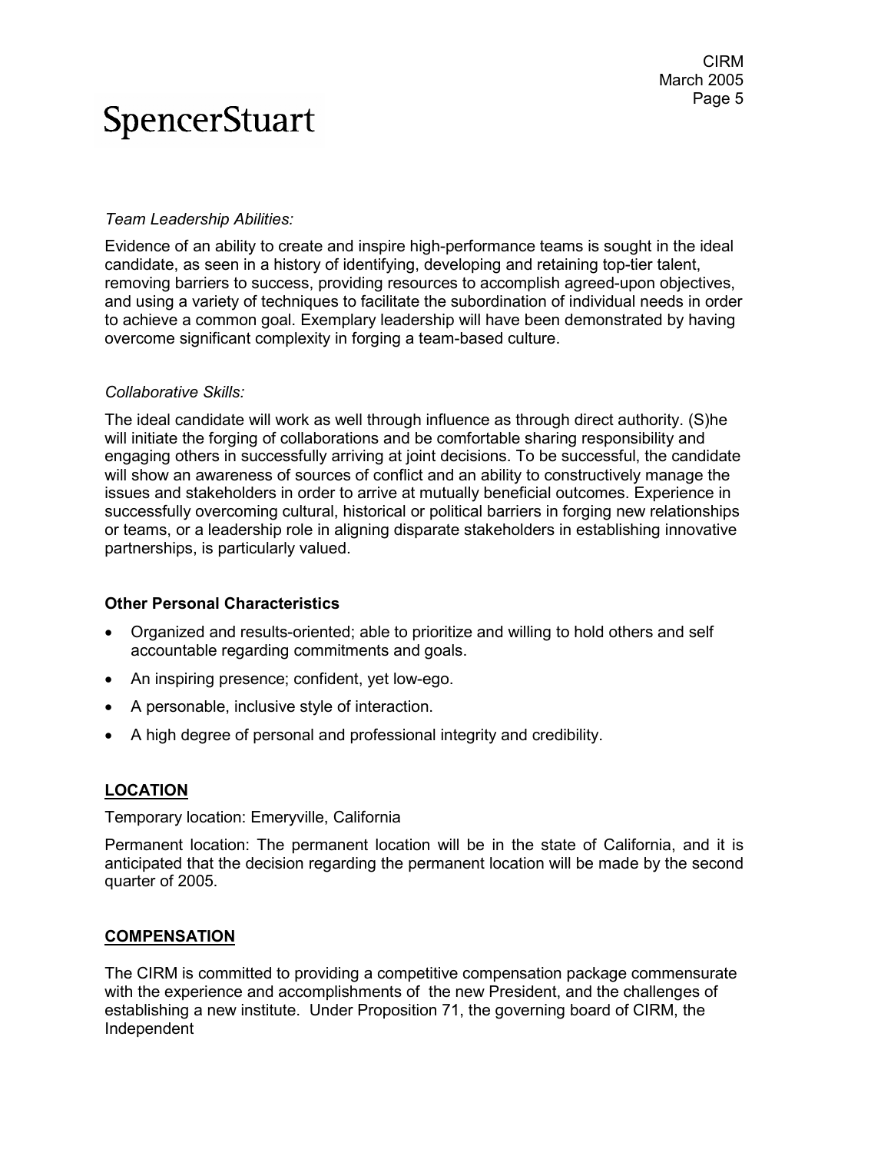#### *Team Leadership Abilities:*

Evidence of an ability to create and inspire high-performance teams is sought in the ideal candidate, as seen in a history of identifying, developing and retaining top-tier talent, removing barriers to success, providing resources to accomplish agreed-upon objectives, and using a variety of techniques to facilitate the subordination of individual needs in order to achieve a common goal. Exemplary leadership will have been demonstrated by having overcome significant complexity in forging a team-based culture.

#### *Collaborative Skills:*

The ideal candidate will work as well through influence as through direct authority. (S)he will initiate the forging of collaborations and be comfortable sharing responsibility and engaging others in successfully arriving at joint decisions. To be successful, the candidate will show an awareness of sources of conflict and an ability to constructively manage the issues and stakeholders in order to arrive at mutually beneficial outcomes. Experience in successfully overcoming cultural, historical or political barriers in forging new relationships or teams, or a leadership role in aligning disparate stakeholders in establishing innovative partnerships, is particularly valued.

#### **Other Personal Characteristics**

- Organized and results-oriented; able to prioritize and willing to hold others and self accountable regarding commitments and goals.
- An inspiring presence; confident, yet low-ego.
- A personable, inclusive style of interaction.
- A high degree of personal and professional integrity and credibility.

#### **LOCATION**

Temporary location: Emeryville, California

Permanent location: The permanent location will be in the state of California, and it is anticipated that the decision regarding the permanent location will be made by the second quarter of 2005.

#### **COMPENSATION**

The CIRM is committed to providing a competitive compensation package commensurate with the experience and accomplishments of the new President, and the challenges of establishing a new institute. Under Proposition 71, the governing board of CIRM, the Independent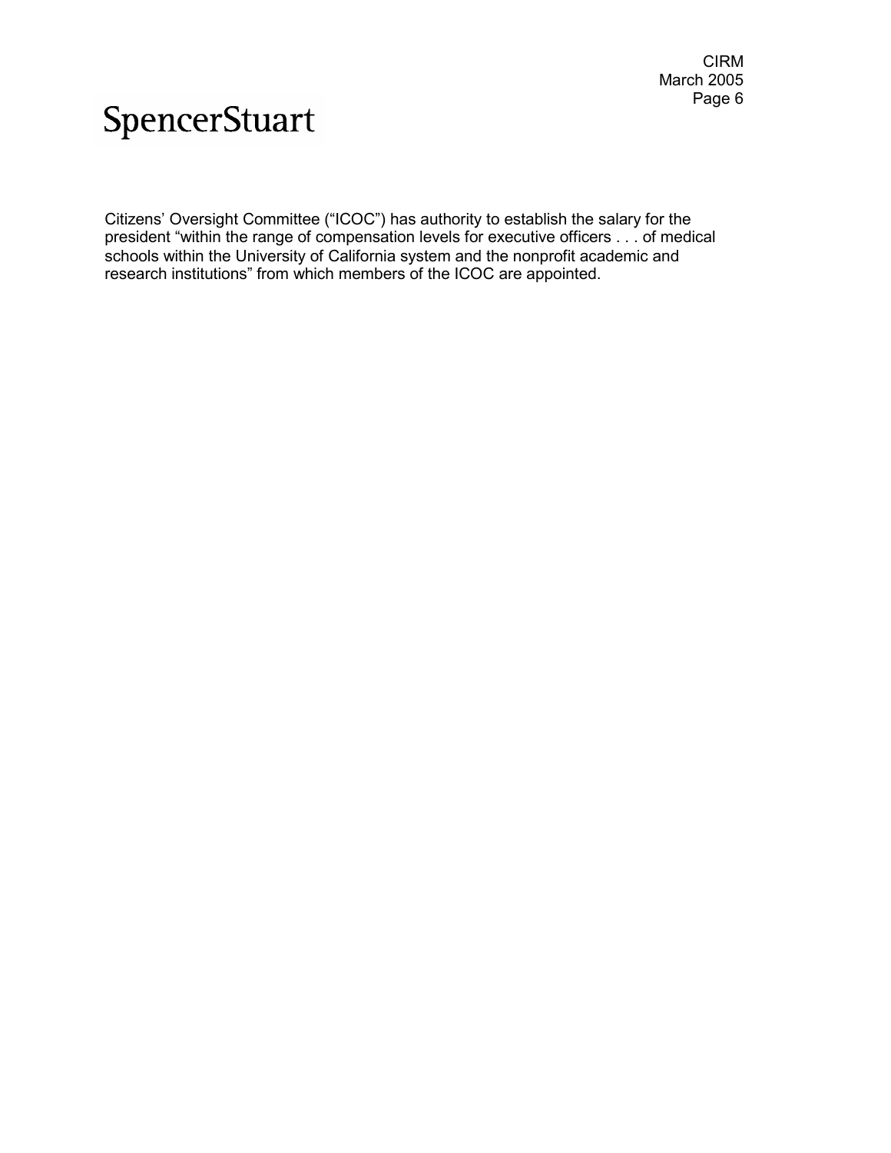Citizens' Oversight Committee ("ICOC") has authority to establish the salary for the president "within the range of compensation levels for executive officers . . . of medical schools within the University of California system and the nonprofit academic and research institutions" from which members of the ICOC are appointed.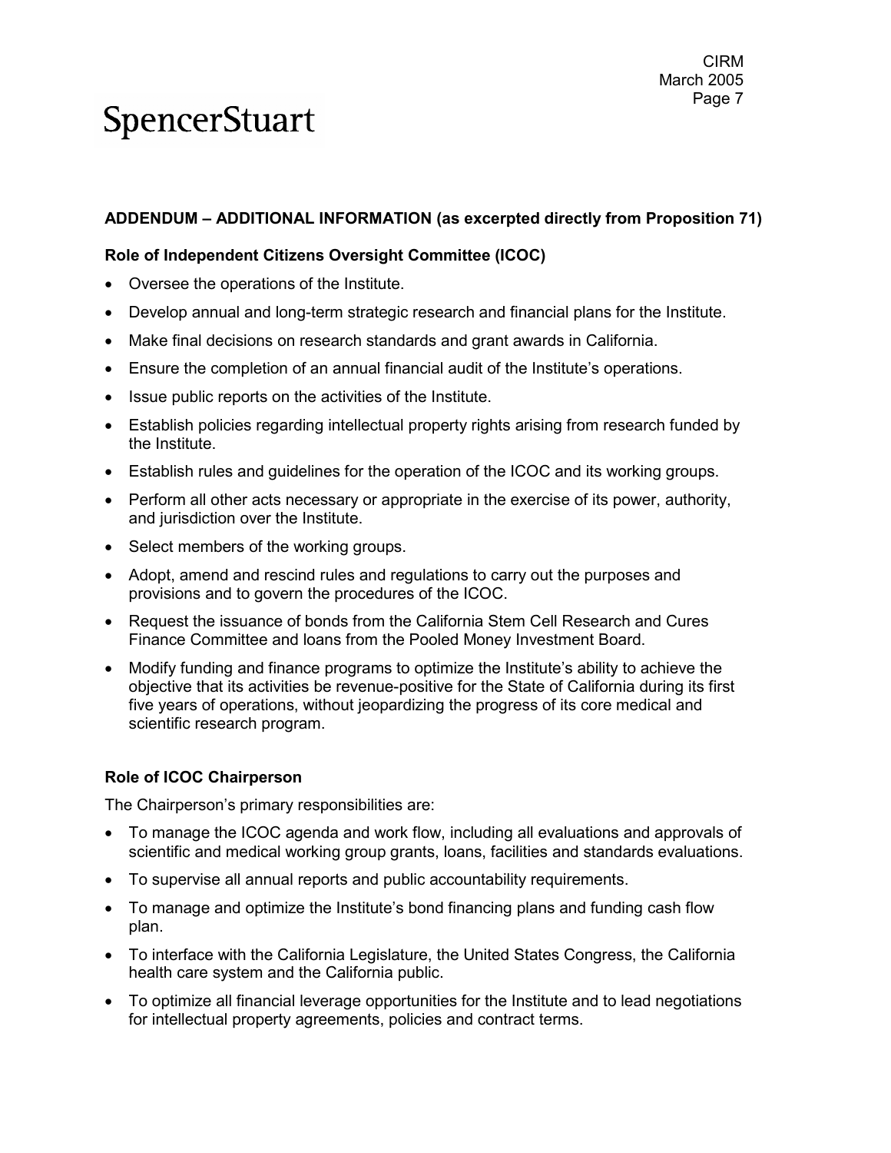#### CIRM March 2005 Page 7

# **SpencerStuart**

#### **ADDENDUM – ADDITIONAL INFORMATION (as excerpted directly from Proposition 71)**

#### **Role of Independent Citizens Oversight Committee (ICOC)**

- Oversee the operations of the Institute.
- Develop annual and long-term strategic research and financial plans for the Institute.
- Make final decisions on research standards and grant awards in California.
- Ensure the completion of an annual financial audit of the Institute's operations.
- Issue public reports on the activities of the Institute.
- Establish policies regarding intellectual property rights arising from research funded by the Institute.
- Establish rules and guidelines for the operation of the ICOC and its working groups.
- Perform all other acts necessary or appropriate in the exercise of its power, authority, and jurisdiction over the Institute.
- Select members of the working groups.
- Adopt, amend and rescind rules and regulations to carry out the purposes and provisions and to govern the procedures of the ICOC.
- Request the issuance of bonds from the California Stem Cell Research and Cures Finance Committee and loans from the Pooled Money Investment Board.
- Modify funding and finance programs to optimize the Institute's ability to achieve the objective that its activities be revenue-positive for the State of California during its first five years of operations, without jeopardizing the progress of its core medical and scientific research program.

#### **Role of ICOC Chairperson**

The Chairperson's primary responsibilities are:

- To manage the ICOC agenda and work flow, including all evaluations and approvals of scientific and medical working group grants, loans, facilities and standards evaluations.
- To supervise all annual reports and public accountability requirements.
- To manage and optimize the Institute's bond financing plans and funding cash flow plan.
- To interface with the California Legislature, the United States Congress, the California health care system and the California public.
- To optimize all financial leverage opportunities for the Institute and to lead negotiations for intellectual property agreements, policies and contract terms.